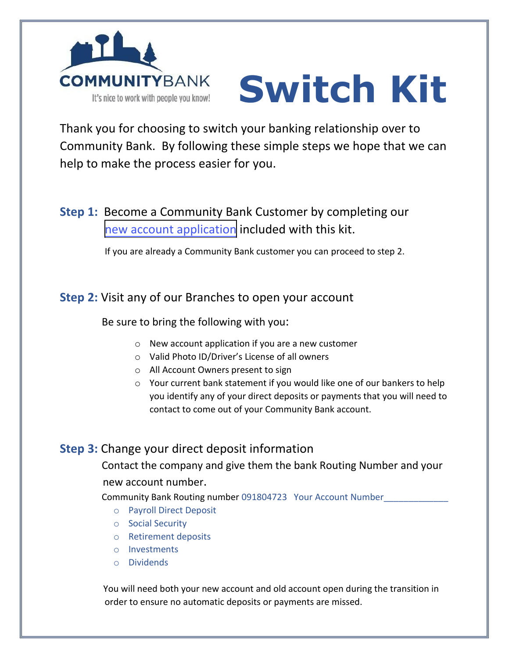

# **Switch Kit**

Thank you for choosing to switch your banking relationship over to Community Bank. By following these simple steps we hope that we can help to make the process easier for you.

# **Step 1:** Become a Community Bank Customer by completing our new account application included with this kit.

If you are already a Community Bank customer you can proceed to step 2.

#### **Step 2:** Visit any of our Branches to open your account

#### Be sure to bring the following with you:

- o New account application if you are a new customer
- o Valid Photo ID/Driver's License of all owners
- o All Account Owners present to sign
- o Your current bank statement if you would like one of our bankers to help you identify any of your direct deposits or payments that you will need to contact to come out of your Community Bank account.

### **Step 3:** Change your direct deposit information

 Contact the company and give them the bank Routing Number and your new account number.

Community Bank Routing number 091804723 Your Account Number\_\_\_\_\_\_\_\_\_\_\_\_\_

- o Payroll Direct Deposit
- o Social Security
- o Retirement deposits
- o Investments
- o Dividends

You will need both your new account and old account open during the transition in order to ensure no automatic deposits or payments are missed.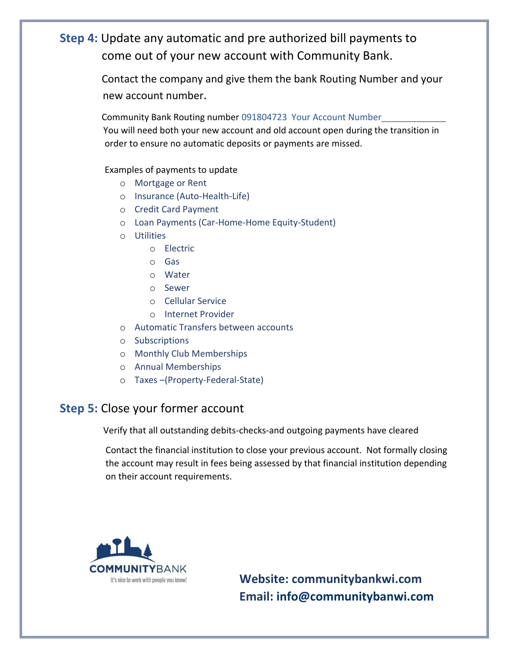## **Step 4:** Update any automatic and pre authorized bill payments to come out of your new account with Community Bank.

 Contact the company and give them the bank Routing Number and your new account number.

Community Bank Routing number 091804723 Your Account Number You will need both your new account and old account open during the transition in order to ensure no automatic deposits or payments are missed.

#### Examples of payments to update

- o Mortgage or Rent
- o Insurance (Auto-Health-Life)
- o Credit Card Payment
- o Loan Payments (Car-Home-Home Equity-Student)
- o Utilities
	- o Electric
	- o Gas
	- o Water
	- o Sewer
	- o Cellular Service
	- o Internet Provider
- o Automatic Transfers between accounts
- o Subscriptions
- o Monthly Club Memberships
- o Annual Memberships
- o Taxes –(Property-Federal-State)

#### **Step 5:** Close your former account

Verify that all outstanding debits-checks-and outgoing payments have cleared

 Contact the financial institution to close your previous account. Not formally closing the account may result in fees being assessed by that financial institution depending on their account requirements.



It's nice to work with people you know!<br> **Website: communitybankwi.com Email: [info@communitybanwi.com](mailto:info@communitybanwi.com)**